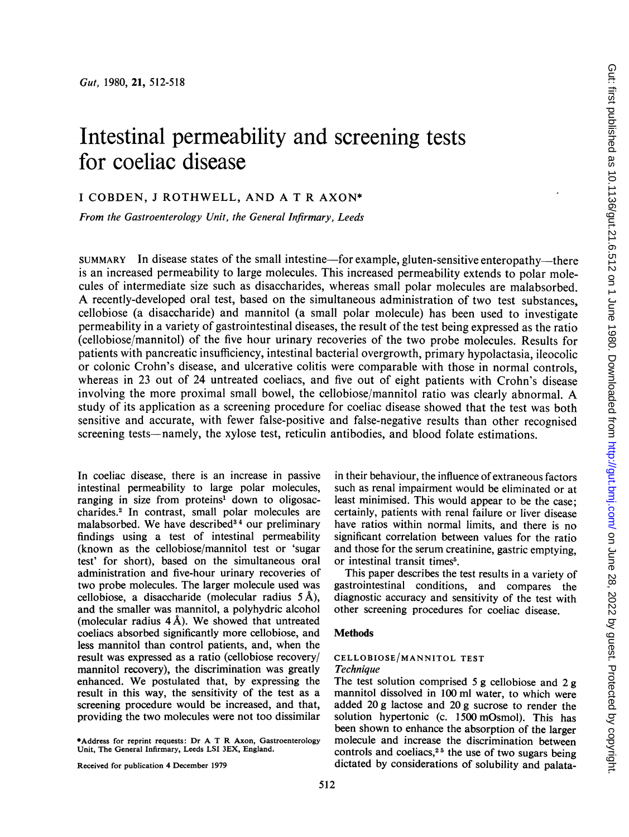# Intestinal permeability and screening tests for coeliac disease

# <sup>I</sup> COBDEN, <sup>J</sup> ROTHWELL, AND A T R AXON\*

From the Gastroenterology Unit, the General Infirmary, Leeds

SUMMARY In disease states of the small intestine—for example, gluten-sensitive enteropathy—there is an increased permeability to large molecules. This increased permeability extends to polar molecules of intermediate size such as disaccharides, whereas small polar molecules are malabsorbed. A recently-developed oral test, based on the simultaneous administration of two test substances, cellobiose (a disaccharide) and mannitol (a small polar molecule) has been used to investigate permeability in a variety of gastrointestinal diseases, the result of the test being expressed as the ratio (cellobiose/mannitol) of the five hour urinary recoveries of the two probe molecules. Results for patients with pancreatic insufficiency, intestinal bacterial overgrowth, primary hypolactasia, ileocolic or colonic Crohn's disease, and ulcerative colitis were comparable with those in normal controls, whereas in 23 out of 24 untreated coeliacs, and five out of eight patients with Crohn's disease involving the more proximal small bowel, the cellobiose/mannitol ratio was clearly abnormal. A study of its application as a screening procedure for coeliac disease showed that the test was both sensitive and accurate, with fewer false-positive and false-negative results than other recognised screening tests-namely, the xylose test, reticulin antibodies, and blood folate estimations.

In coeliac disease, there is an increase in passive intestinal permeability to large polar molecules, ranging in size from proteins' down to oligosaccharides.<sup>2</sup> In contrast, small polar molecules are malabsorbed. We have described<sup>34</sup> our preliminary findings using a test of intestinal permeability (known as the cellobiose/mannitol test or 'sugar test' for short), based on the simultaneous oral administration and five-hour urinary recoveries of two probe molecules. The larger molecule used was cellobiose, a disaccharide (molecular radius  $5 \text{\AA}$ ), and the smaller was mannitol, a polyhydric alcohol (molecular radius  $4 \text{ Å}$ ). We showed that untreated coeliacs absorbed significantly more cellobiose, and less mannitol than control patients, and, when the result was expressed as a ratio (cellobiose recovery/ mannitol recovery), the discrimination was greatly enhanced. We postulated that, by expressing the result in this way, the sensitivity of the test as a screening procedure would be increased, and that, providing the two molecules were not too dissimilar

\*Address for reprint requests: Dr A T R Axon, Gastroenterology Unit, The General Infirmary, Leeds LSI 3EX, England.

Received for publication 4 December 1979

in their behaviour, the influence of extraneous factors such as renal impairment would be eliminated or at least minimised. This would appear to be the case; certainly, patients with renal failure or liver disease have ratios within normal limits, and there is no significant correlation between values for the ratio and those for the serum creatinine, gastric emptying, or intestinal transit times<sup>5</sup>.

This paper describes the test results in a variety of gastrointestinal conditions, and compares the diagnostic accuracy and sensitivity of the test with other screening procedures for coeliac disease.

# **Methods**

#### CELLOBIOSE/MANNITOL TEST Technique

The test solution comprised 5 g cellobiose and  $2 g$ mannitol dissolved in 100 ml water, to which were added 20 g lactose and 20 g sucrose to render the solution hypertonic (c. 1500 mOsmol). This has been shown to enhance the absorption of the larger molecule and increase the discrimination between controls and coeliacs, $2<sup>5</sup>$  the use of two sugars being dictated by considerations of solubility and palata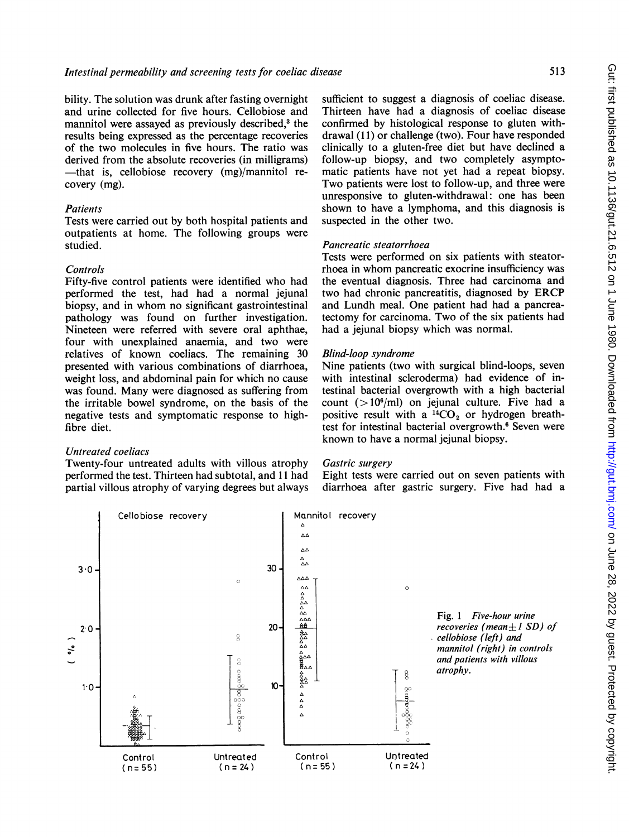bility. The solution was drunk after fasting overnight and urine collected for five hours. Cellobiose and mannitol were assayed as previously described,<sup>3</sup> the results being expressed as the percentage recoveries of the two molecules in five hours. The ratio was derived from the absolute recoveries (in milligrams) -that is, cellobiose recovery (mg)/mannitol recovery (mg).

## Patients

Tests were carried out by both hospital patients and outpatients at home. The following groups were studied.

# Controls

Fifty-five control patients were identified who had performed the test, had had a normal jejunal biopsy, and in whom no significant gastrointestinal pathology was found on further investigation. Nineteen were referred with severe oral aphthae, four with unexplained anaemia, and two were relatives of known coeliacs. The remaining 30 presented with various combinations of diarrhoea, weight loss, and abdominal pain for which no cause was found. Many were diagnosed as suffering from the irritable bowel syndrome, on the basis of the negative tests and symptomatic response to highfibre diet.

# Untreated coeliacs

Twenty-four untreated adults with villous atrophy performed the test. Thirteen had subtotal, and <sup>11</sup> had partial villous atrophy of varying degrees but always

sufficient to suggest a diagnosis of coeliac disease. Thirteen have had a diagnosis of coeliac disease confirmed by histological response to gluten withdrawal (11) or challenge (two). Four have responded clinically to a gluten-free diet but have declined a follow-up biopsy, and two completely asymptomatic patients have not yet had a repeat biopsy. Two patients were lost to follow-up, and three were unresponsive to gluten-withdrawal: one has been shown to have a lymphoma, and this diagnosis is suspected in the other two.

# Pancreatic steatorrhoea

Tests were performed on six patients with steatorrhoea in whom pancreatic exocrine insufficiency was the eventual diagnosis. Three had carcinoma and two had chronic pancreatitis, diagnosed by ERCP and Lundh meal. One patient had had a pancreatectomy for carcinoma. Two of the six patients had had a jejunal biopsy which was normal.

#### Blind-loop syndrome

Nine patients (two with surgical blind-loops, seven with intestinal scleroderma) had evidence of intestinal bacterial overgrowth with a high bacterial count ( $> 10<sup>6</sup>/ml$ ) on jejunal culture. Five had a positive result with a  ${}^{14}CO_2$  or hydrogen breathtest for intestinal bacterial overgrowth.<sup>6</sup> Seven were known to have a normal jejunal biopsy.

#### Gastric surgery

Eight tests were carried out on seven patients with diarrhoea after gastric surgery. Five had had a

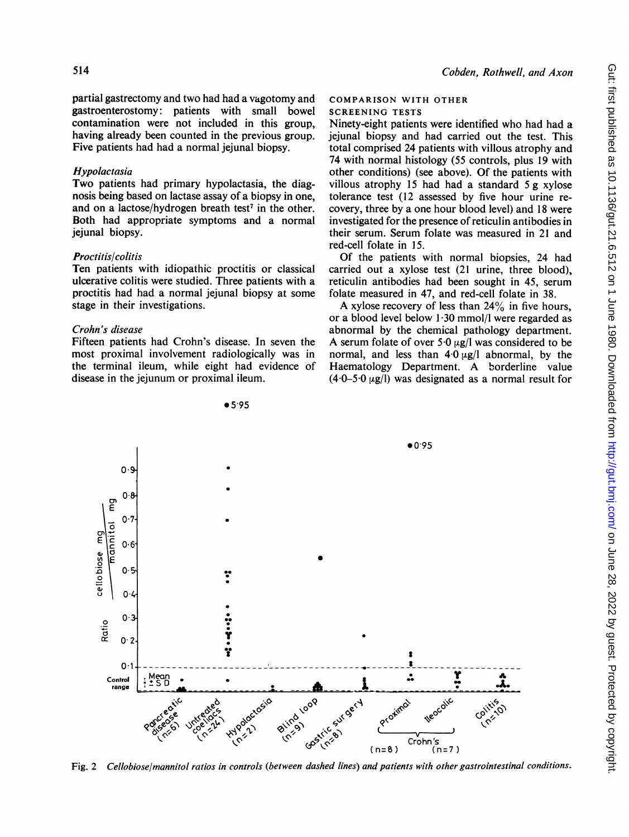partial gastrectomy and two had had a vagotomy and gastroenterostomy: patients with small bowel contamination were not included in this group, having already been counted in the previous group. Five patients had had a normal jejunal biopsy.

# Hypolactasia

Two patients had primary hypolactasia, the diagnosis being based on lactase assay of a biopsy in one, and on a lactose/hydrogen breath test<sup>7</sup> in the other. Both had appropriate symptoms and a normal jejunal biopsy.

# Proctitis/colitis

Ten patients with idiopathic proctitis or classical ulcerative colitis were studied. Three patients with a proctitis had had a normal jejunal biopsy at some stage in their investigations.

# Crohn's disease

Fifteen patients had Crohn's disease. In seven the most proximal involvement radiologically was in the terminal ileum, while eight had evidence of disease in the jejunum or proximal ileum.

#### COMPARISON WITH OTHER SCREENING TESTS

Ninety-eight patients were identified who had had a jejunal biopsy and had carried out the test. This total comprised 24 patients with villous atrophy and 74 with normal histology (55 controls, plus 19 with other conditions) (see above). Of the patients with villous atrophy 15 had had a standard 5 g xylose tolerance test (12 assessed by five hour urine recovery, three by a one hour blood level) and 18 were investigated for the presence of reticulin antibodies in their serum. Serum folate was measured in 21 and red-cell folate in 15.

Of the patients with normal biopsies, 24 had carried out a xylose test (21 urine, three blood), reticulin antibodies had been sought in 45, serum folate measured in 47, and red-cell folate in 38.

A xylose recovery of less than 24% in five hours, or a blood level below  $1.30$  mmol/l were regarded as abnormal by the chemical pathology department. A serum folate of over  $5.0 \mu g/l$  was considered to be normal, and less than  $4.0 \mu g/l$  abnormal, by the Haematology Department. A borderline value  $(4.0-5.0 \mu g/l)$  was designated as a normal result for



Fig. 2 Cellobiose/mannitol ratios in controls (between dashed lines) and patients with other gastrointestinal conditions.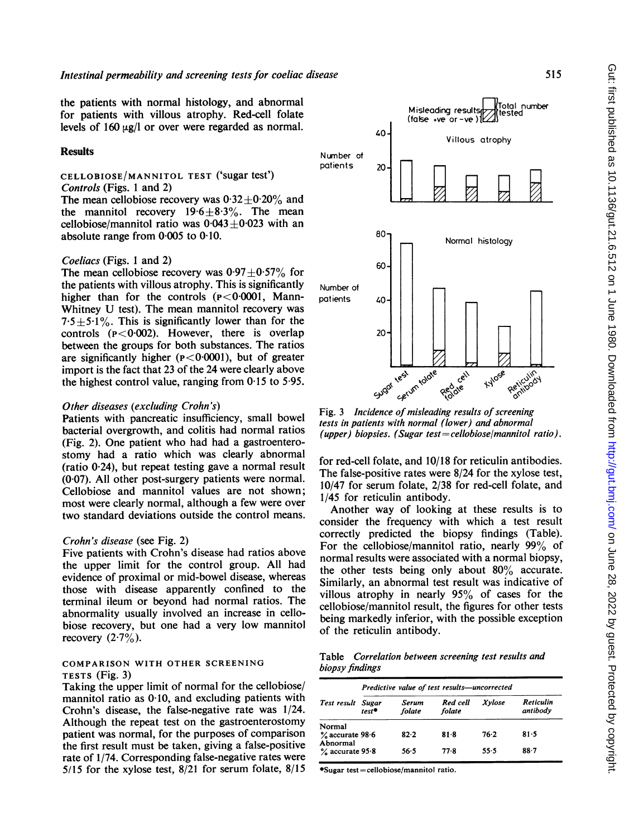the patients with normal histology, and abnormal for patients with villous atrophy. Red-cell folate levels of  $160 \mu g/l$  or over were regarded as normal.

# Results

## CELLOBIOSE/MANNITOL TEST ('sugar test') Controls (Figs. <sup>1</sup> and 2)

The mean cellobiose recovery was  $0.32 \pm 0.20\%$  and the mannitol recovery  $19.6 \pm 8.3\%$ . The mean cellobiose/mannitol ratio was  $0.043 \pm 0.023$  with an absolute range from 0.005 to 0-10.

# Coeliacs (Figs. <sup>1</sup> and 2)

The mean cellobiose recovery was  $0.97 \pm 0.57\%$  for the patients with villous atrophy. This is significantly higher than for the controls  $(p<0.0001$ , Mann-Whitney U test). The mean mannitol recovery was  $7.5 \pm 5.1\%$ . This is significantly lower than for the controls  $(p<0.002)$ . However, there is overlap between the groups for both substances. The ratios are significantly higher  $(P < 0.0001)$ , but of greater import is the fact that 23 of the 24 were clearly above the highest control value, ranging from  $0.15$  to  $5.95$ .

# Other diseases (excluding Crohn's)

Patients with pancreatic insufficiency, small bowel bacterial overgrowth, and colitis had normal ratios (Fig. 2). One patient who had had a gastroenterostomy had a ratio which was clearly abnormal (ratio 0.24), but repeat testing gave a normal result (0.07). All other post-surgery patients were normal. Cellobiose and mannitol values are not shown; most were clearly normal, although a few were over two standard deviations outside the control means.

#### Crohn's disease (see Fig. 2)

Five patients with Crohn's disease had ratios above the upper limit for the control group. All had evidence of proximal or mid-bowel disease, whereas those with disease apparently confined to the terminal ileum or beyond had normal ratios. The abnormality usually involved an increase in cellobiose recovery, but one had a very low mannitol recovery  $(2.7\%)$ .

# COMPARISON WITH OTHER SCREENING TESTS (Fig. 3)

Taking the upper limit of normal for the cellobiose/ mannitol ratio as 0-10, and excluding patients with Crohn's disease, the false-negative rate was 1/24. Although the repeat test on the gastroenterostomy patient was normal, for the purposes of comparison the first result must be taken, giving a false-positive rate of 1/74. Corresponding false-negative rates were 5/15 for the xylose test, 8/21 for serum folate, 8/15



Fig. 3 Incidence of misleading results of screening tests in patients with normal (lower) and abnormal (upper) biopsies. (Sugar test=cellobiose/mannitol ratio).

for red-cell folate, and 10/18 for reticulin antibodies. The false-positive rates were 8/24 for the xylose test, 10/47 for serum folate, 2/38 for red-cell folate, and 1/45 for reticulin antibody.

Another way of looking at these results is to consider the frequency with which a test result correctly predicted the biopsy findings (Table). For the cellobiose/mannitol ratio, nearly 99% of normal results were associated with a normal biopsy, the other tests being only about 80% accurate. Similarly, an abnormal test result was indicative of villous atrophy in nearly 95% of cases for the cellobiose/mannitol result, the figures for other tests being markedly inferior, with the possible exception of the reticulin antibody.

Table Correlation between screening test results and biopsy findings

| Test result Sugar               | Predictive value of test results-uncorrected |                 |                    |        |                       |
|---------------------------------|----------------------------------------------|-----------------|--------------------|--------|-----------------------|
|                                 | $test$ <sup>*</sup>                          | Serum<br>folate | Red cell<br>folate | Xvlose | Reticulin<br>antibody |
| Normal                          |                                              |                 |                    |        |                       |
| $%$ accurate 98.6               |                                              | $82 - 2$        | $81-8$             | 76.2   | $81 - 5$              |
| Abnormal<br>$%$ accurate $95.8$ |                                              | 56.5            | 77.8               | 55.5   | $88 - 7$              |

\*Sugar test= cellobiose/mannitol ratio.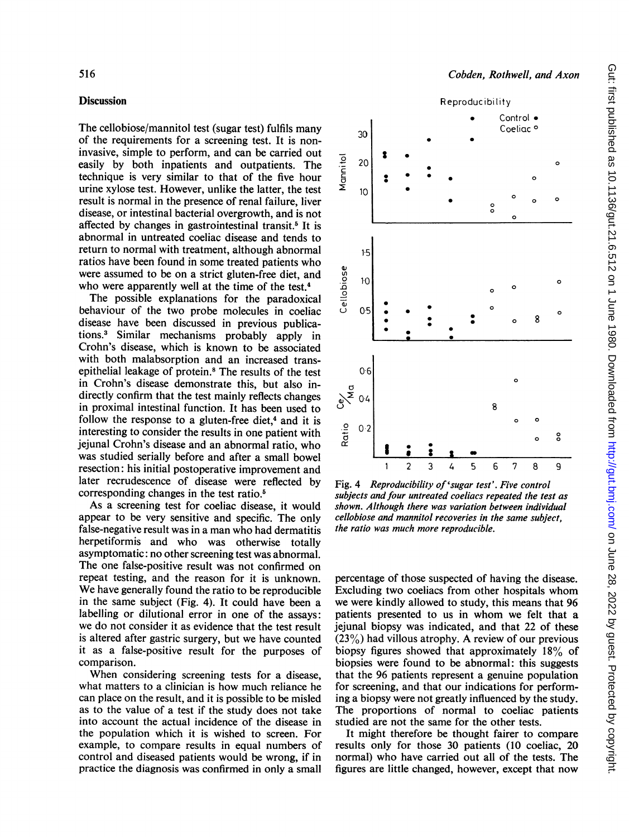# 516

# **Discussion**

The cellobiose/mannitol test (sugar test) fulfils many of the requirements for a screening test. It is noninvasive, simple to perform, and can be carried out easily by both inpatients and outpatients. The technique is very similar to that of the five hour urine xylose test. However, unlike the latter, the test result is normal in the presence of renal failure, liver disease, or intestinal bacterial overgrowth, and is not affected by changes in gastrointestinal transit.<sup>5</sup> It is abnormal in untreated coeliac disease and tends to return to normal with treatment, although abnormal ratios have been found in some treated patients who were assumed to be on a strict gluten-free diet, and who were apparently well at the time of the test.<sup>4</sup>

The possible explanations for the paradoxical behaviour of the two probe molecules in coeliac disease have been discussed in previous publications.3 Similar mechanisms probably apply in Crohn's disease, which is known to be associated with both malabsorption and an increased transepithelial leakage of protein.8 The results of the test in Crohn's disease demonstrate this, but also indirectly confirm that the test mainly reflects changes in proximal intestinal function. It has been used to follow the response to a gluten-free diet, $4$  and it is interesting to consider the results in one patient with jejunal Crohn's disease and an abnormal ratio, who was studied serially before and after a small bowel resection: his initial postoperative improvement and later recrudescence of disease were reflected by corresponding changes in the test ratio.<sup>5</sup>

As a screening test for coeliac disease, it would appear to be very sensitive and specific. The only false-negative result was in a man who had dermatitis herpetiformis and who was otherwise totally asymptomatic: no other screening test was abnormal. The one false-positive result was not confirmed on repeat testing, and the reason for it is unknown. We have generally found the ratio to be reproducible in the same subject (Fig. 4). It could have been a labelling or dilutional error in one of the assays: we do not consider it as evidence that the test result is altered after gastric surgery, but we have counted it as a false-positive result for the purposes of comparison.

When considering screening tests for a disease, what matters to a clinician is how much reliance he can place on the result, and it is possible to be misled as to the value of a test if the study does not take into account the actual incidence of the disease in the population which it is wished to screen. For example, to compare results in equal numbers of control and diseased patients would be wrong, if in practice the diagnosis was confirmed in only a small



30

20

., \* 0 S

 $\bullet$  $\cdot$  .

10

15

10

05

0 C s

0) in 0  $\frac{5}{10}$  Cobden, Rothwell, and Axon

Control  $\bullet$ Coeliac<sup>o</sup>

 $\overline{a}$  $\degree$ 

c

 $\overline{0}$ 

0

 $\circ$ 

o 0

Reproducibility

subjects and four untreated coeliacs repeated the test as shown. Although there was variation between individual cellobiose and mannitol recoveries in the same subject, the ratio was much more reproducible.

percentage of those suspected of having the disease. Excluding two coeliacs from other hospitals whom we were kindly allowed to study, this means that 96 patients presented to us in whom we felt that a jejunal biopsy was indicated, and that 22 of these  $(23\%)$  had villous atrophy. A review of our previous biopsy figures showed that approximately 18% of biopsies were found to be abnormal: this suggests that the 96 patients represent a genuine population for screening, and that our indications for performing a biopsy were not greatly influenced by the study. The proportions of normal to coeliac patients studied are not the same for the other tests.

It might therefore be thought fairer to compare results only for those 30 patients (10 coeliac, 20 normal) who have carried out all of the tests. The figures are little changed, however, except that now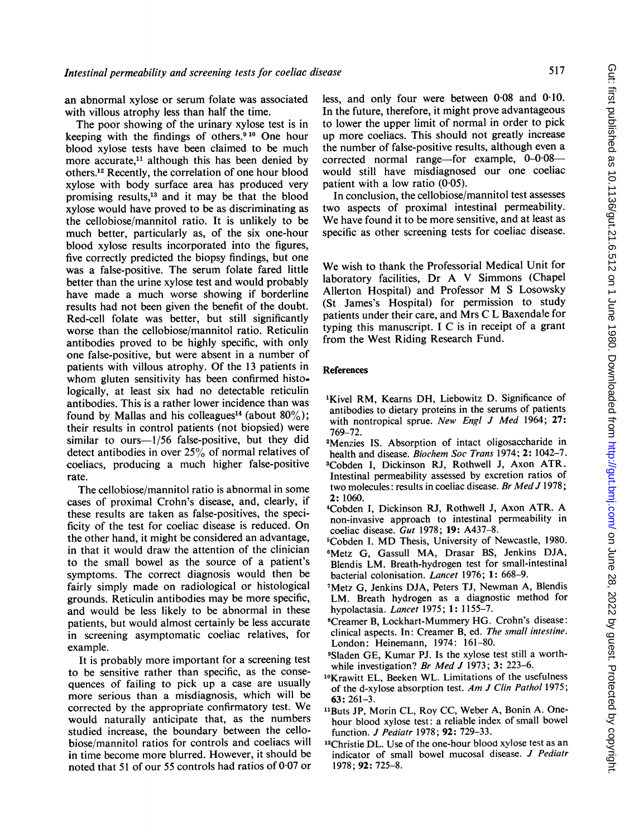an abnormal xylose or serum folate was associated with villous atrophy less than half the time.

The poor showing of the urinary xylose test is in keeping with the findings of others.<sup>910</sup> One hour blood xylose tests have been claimed to be much more accurate,<sup>11</sup> although this has been denied by others.'2 Recently, the correlation of one hour blood xylose with body surface area has produced very promising results,13 and it may be that the blood xylose would have proved to be as discriminating as the cellobiose/mannitol ratio. It is unlikely to be much better, particularly as, of the six one-hour blood xylose results incorporated into the figures, five correctly predicted the biopsy findings, but one was a false-positive. The serum folate fared little better than the urine xylose test and would probably have made a much worse showing if borderline results had not been given the benefit of the doubt. Red-cell folate was better, but still significantly worse than the cellobiose/mannitol ratio. Reticulin antibodies proved to be highly specific, with only one false-positive, but were absent in a number of patients with villous atrophy. Of the 13 patients in whom gluten sensitivity has been confirmed histologically, at least six had no detectable reticulin antibodies. This is a rather lower incidence than was found by Mallas and his colleagues<sup>14</sup> (about  $80\%$ ); their results in control patients (not biopsied) were similar to ours-1/56 false-positive, but they did detect antibodies in over 25% of normal relatives of coeliacs, producing a much higher false-positive rate.

The cellobiose/mannitol ratio is abnormal in some cases of proximal Crohn's disease, and, clearly, if these results are taken as false-positives, the specificity of the test for coeliac disease is reduced. On the other hand, it might be considered an advantage, in that it would draw the attention of the clinician to the small bowel as the source of a patient's symptoms. The correct diagnosis would then be fairly simply made on radiological or histological grounds. Reticulin antibodies may be more specific, and would be less likely to be abnormal in these patients, but would almost certainly be less accurate in screening asymptomatic coeliac relatives, for example.

It is probably more important for a screening test to be sensitive rather than specific, as the consequences of failing to pick up a case are usually more serious than a misdiagnosis, which will be corrected by the appropriate confirmatory test. We would naturally anticipate that, as the numbers studied increase, the boundary between the cellobiose/mannitol ratios for controls and coeliacs will in time become more blurred. However, it should be noted that 51 of our 55 controls had ratios of 0.07 or less, and only four were between 008 and 0.10. In the future, therefore, it might prove advantageous to lower the upper limit of normal in order to pick up more coeliacs. This should not greatly increase the number of false-positive results, although even a corrected normal range—for example,  $0-0.08$  would still have misdiagnosed our one coeliac patient with a low ratio  $(0.05)$ .

In conclusion, the cellobiose/mannitol test assesses two aspects of proximal intestinal permeability. We have found it to be more sensitive, and at least as specific as other screening tests for coeliac disease.

We wish to thank the Professorial Medical Unit for laboratory facilities, Dr A V Simmons (Chapel Allerton Hospital) and Professor M <sup>S</sup> Losowsky (St James's Hospital) for permission to study patients under their care, and Mrs C L Baxendale for typing this manuscript. <sup>I</sup> C is in receipt of <sup>a</sup> grant from the West Riding Research Fund.

#### References

- 'Kivel RM, Kearns DH, Liebowitz D. Significance of antibodies to dietary proteins in the serums of patients with nontropical sprue. New Engl J Med 1964; 27: 769-72.
- 2Menzies IS. Absorption of intact oligosaccharide in health and disease. Biochem Soc Trans 1974; 2: 1042-7.
- 3Cobden I, Dickinson RJ, Rothwell J, Axon ATR. Intestinal permeability assessed by excretion ratios of two molecules: results in coeliac disease. Br Med J 1978; 2:1060.
- 4Cobden I, Dickinson RJ, Rothwell J, Axon ATR. A non-invasive approach to intestinal permeability in coeliac disease. Gut 1978; 19: A437-8.
- 5Cobden I. MD Thesis, University of Newcastle, 1980. 6Metz G, Gassull MA, Drasar BS, Jenkins DJA, Blendis LM. Breath-hydrogen test for small-intestinal bacterial colonisation. Lancet 1976; 1: 668-9.
- 7Metz G, Jenkins DJA, Peters TJ, Newman A, Blendis LM. Breath hydrogen as a diagnostic method for hypolactasia. Lancet 1975; 1: 1155-7.
- 8Creamer B, Lockhart-Mummery HG. Crohn's disease: clinical aspects. In: Creamer B, ed. The small intestine. London: Heinemann, 1974: 161-80.
- 9Sladen GE, Kumar PJ. Is the xylose test still <sup>a</sup> worthwhile investigation? Br Med J 1973; 3: 223-6.
- '0Krawitt EL, Beeken WL. Limitations of the usefulness of the d-xylose absorption test. Am J Clin Pathol 1975; 63: 261-3.
- <sup>11</sup>Buts JP, Morin CL, Roy CC, Weber A, Bonin A. Onehour blood xylose test: a reliable index of small bowel function. J Pediatr 1978; 92: 729-33.
- 12Christie DL. Use of the one-hour blood xylose test as an indicator of small bowel mucosal disease. J Pediatr 1978; 92: 725-8.